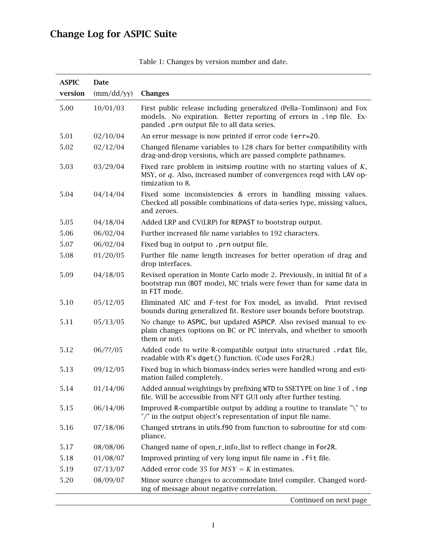## Change Log for ASPIC Suite

| <b>ASPIC</b> | Date          |                                                                                                                                                                                             |
|--------------|---------------|---------------------------------------------------------------------------------------------------------------------------------------------------------------------------------------------|
| version      | $\frac{m}{d}$ | <b>Changes</b>                                                                                                                                                                              |
| 5.00         | 10/01/03      | First public release including generalized (Pella-Tomlinson) and Fox<br>models. No expiration. Better reporting of errors in . inp file. Ex-<br>panded .prn output file to all data series. |
| 5.01         | 02/10/04      | An error message is now printed if error code ierr=20.                                                                                                                                      |
| 5.02         | 02/12/04      | Changed filename variables to 128 chars for better compatibility with<br>drag-and-drop versions, which are passed complete pathnames.                                                       |
| 5.03         | 03/29/04      | Fixed rare problem in initsimp routine with no starting values of $K$ ,<br>MSY, or q. Also, increased number of convergences reqd with LAV op-<br>timization to 8.                          |
| 5.04         | 04/14/04      | Fixed some inconsistencies & errors in handling missing values.<br>Checked all possible combinations of data-series type, missing values,<br>and zeroes.                                    |
| 5.05         | 04/18/04      | Added LRP and CV(LRP) for REPAST to bootstrap output.                                                                                                                                       |
| 5.06         | 06/02/04      | Further increased file name variables to 192 characters.                                                                                                                                    |
| 5.07         | 06/02/04      | Fixed bug in output to .prn output file.                                                                                                                                                    |
| 5.08         | 01/20/05      | Further file name length increases for better operation of drag and<br>drop interfaces.                                                                                                     |
| 5.09         | 04/18/05      | Revised operation in Monte Carlo mode 2. Previously, in initial fit of a<br>bootstrap run (BOT mode), MC trials were fewer than for same data in<br>in FIT mode.                            |
| 5.10         | 05/12/05      | Eliminated AIC and F-test for Fox model, as invalid. Print revised<br>bounds during generalized fit. Restore user bounds before bootstrap.                                                  |
| 5.11         | 05/13/05      | No change to ASPIC, but updated ASPICP. Also revised manual to ex-<br>plain changes (options on BC or PC intervals, and whether to smooth<br>them or not).                                  |
| 5.12         | 06/??/05      | Added code to write R-compatible output into structured . rdat file,<br>readable with R's dget() function. (Code uses For2R.)                                                               |
| 5.13         | 09/12/05      | Fixed bug in which biomass-index series were handled wrong and esti-<br>mation failed completely.                                                                                           |
| 5.14         | 01/14/06      | Added annual weightings by prefixing WTD to SSETYPE on line 3 of .inp<br>file. Will be accessible from NFT GUI only after further testing.                                                  |
| 5.15         | 06/14/06      | Improved R-compartible output by adding a routine to translate "\" to<br>"/" in the output object's representation of input file name.                                                      |
| 5.16         | 07/18/06      | Changed strtrans in utils.f90 from function to subroutine for std com-<br>pliance.                                                                                                          |
| 5.17         | 08/08/06      | Changed name of open_r_info_list to reflect change in For2R.                                                                                                                                |
| 5.18         | 01/08/07      | Improved printing of very long input file name in . fit file.                                                                                                                               |
| 5.19         | 07/13/07      | Added error code 35 for $MSY = K$ in estimates.                                                                                                                                             |
| 5.20         | 08/09/07      | Minor source changes to accommodate Intel compiler. Changed word-<br>ing of message about negative correlation.                                                                             |

Table 1: Changes by version number and date.

Continued on next page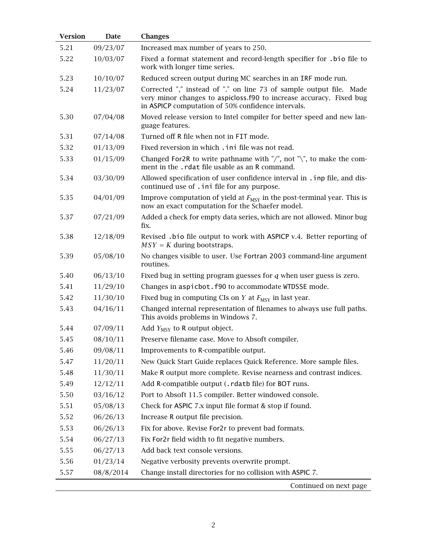| <b>Version</b> | <b>Date</b> | <b>Changes</b>                                                                                                                                                                                   |
|----------------|-------------|--------------------------------------------------------------------------------------------------------------------------------------------------------------------------------------------------|
| 5.21           | 09/23/07    | Increased max number of years to 250.                                                                                                                                                            |
| 5.22           | 10/03/07    | Fixed a format statement and record-length specifier for .bio file to<br>work with longer time series.                                                                                           |
| 5.23           | 10/10/07    | Reduced screen output during MC searches in an IRF mode run.                                                                                                                                     |
| 5.24           | 11/23/07    | Corrected "," instead of "." on line 73 of sample output file. Made<br>very minor changes to aspicloss.f90 to increase accuracy. Fixed bug<br>in ASPICP computation of 50% confidence intervals. |
| 5.30           | 07/04/08    | Moved release version to Intel compiler for better speed and new lan-<br>guage features.                                                                                                         |
| 5.31           | 07/14/08    | Turned off R file when not in FIT mode.                                                                                                                                                          |
| 5.32           | 01/13/09    | Fixed reversion in which . ini file was not read.                                                                                                                                                |
| 5.33           | 01/15/09    | Changed For2R to write pathname with "/", not "\", to make the com-<br>ment in the .rdat file usable as an R command.                                                                            |
| 5.34           | 03/30/09    | Allowed specification of user confidence interval in . inp file, and dis-<br>continued use of . ini file for any purpose.                                                                        |
| 5.35           | 04/01/09    | Improve computation of yield at $F_{\text{MSY}}$ in the post-terminal year. This is<br>now an exact computation for the Schaefer model.                                                          |
| 5.37           | 07/21/09    | Added a check for empty data series, which are not allowed. Minor bug<br>fix.                                                                                                                    |
| 5.38           | 12/18/09    | Revised . bio file output to work with ASPICP v.4. Better reporting of<br>$MSY = K$ during bootstraps.                                                                                           |
| 5.39           | 05/08/10    | No changes visible to user. Use Fortran 2003 command-line argument<br>routines.                                                                                                                  |
| 5.40           | 06/13/10    | Fixed bug in setting program guesses for $q$ when user guess is zero.                                                                                                                            |
| 5.41           | 11/29/10    | Changes in aspicbot. f90 to accommodate WTDSSE mode.                                                                                                                                             |
| 5.42           | 11/30/10    | Fixed bug in computing CIs on Y at $F_{\text{MSY}}$ in last year.                                                                                                                                |
| 5.43           | 04/16/11    | Changed internal representation of filenames to always use full paths.<br>This avoids problems in Windows 7.                                                                                     |
| 5.44           | 07/09/11    | Add $Y_{\text{MSY}}$ to R output object.                                                                                                                                                         |
| 5.45           | 08/10/11    | Preserve filename case. Move to Absoft compiler.                                                                                                                                                 |
| 5.46           | 09/08/11    | Improvements to R-compatible output.                                                                                                                                                             |
| 5.47           | 11/20/11    | New Quick Start Guide replaces Quick Reference. More sample files.                                                                                                                               |
| 5.48           | 11/30/11    | Make R output more complete. Revise nearness and contrast indices.                                                                                                                               |
| 5.49           | 12/12/11    | Add R-compatible output (. rdatb file) for BOT runs.                                                                                                                                             |
| 5.50           | 03/16/12    | Port to Absoft 11.5 compiler. Better windowed console.                                                                                                                                           |
| 5.51           | 05/08/13    | Check for ASPIC 7.x input file format & stop if found.                                                                                                                                           |
| 5.52           | 06/26/13    | Increase R output file precision.                                                                                                                                                                |
| 5.53           | 06/26/13    | Fix for above. Revise For2r to prevent bad formats.                                                                                                                                              |
| 5.54           | 06/27/13    | Fix For2r field width to fit negative numbers.                                                                                                                                                   |
| 5.55           | 06/27/13    | Add back text console versions.                                                                                                                                                                  |
| 5.56           | 01/23/14    | Negative verbosity prevents overwrite prompt.                                                                                                                                                    |
| 5.57           | 08/8/2014   | Change install directories for no collision with ASPIC 7.                                                                                                                                        |
|                |             | Continued on next page                                                                                                                                                                           |